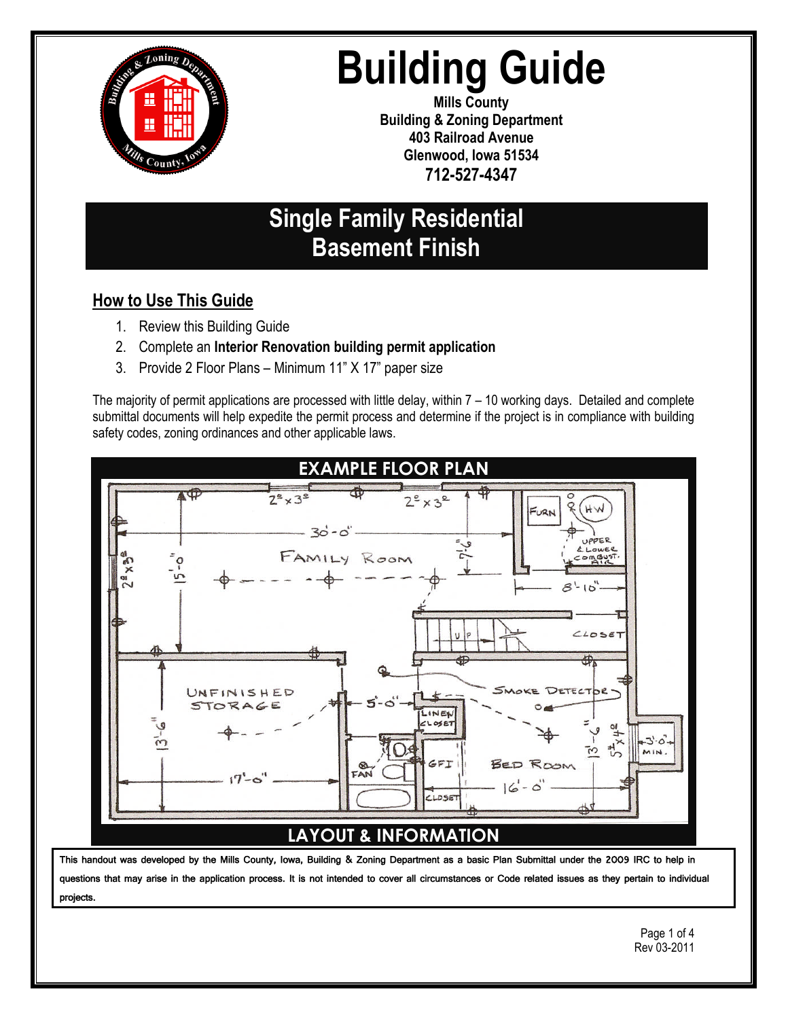

# **Building Guide**

**Mills County Building & Zoning Department 403 Railroad Avenue Glenwood, Iowa 51534 712-527-4347**

## **Single Family Residential Basement Finish**

## **How to Use This Guide**

- 1. Review this Building Guide
- 2. Complete an **Interior Renovation building permit application**
- 3. Provide 2 Floor Plans Minimum 11" X 17" paper size

The majority of permit applications are processed with little delay, within 7 – 10 working days. Detailed and complete submittal documents will help expedite the permit process and determine if the project is in compliance with building safety codes, zoning ordinances and other applicable laws.



## **LAYOUT & INFORMATION**

This handout was developed by the Mills County, Iowa, Building & Zoning Department as a basic Plan Submittal under the 2009 IRC to help in questions that may arise in the application process. It is not intended to cover all circumstances or Code related issues as they pertain to individual projects.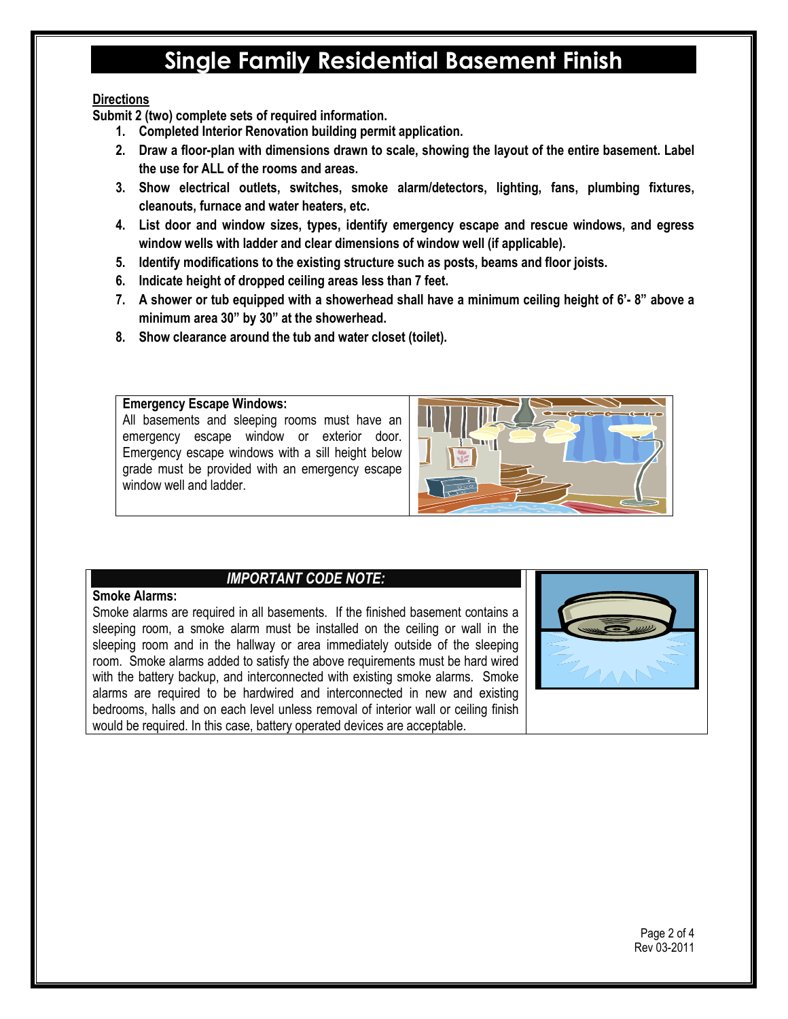# **Single Family Residential Basement Finish**

#### **Directions**

**Submit 2 (two) complete sets of required information.**

- **1. Completed Interior Renovation building permit application.**
- **2. Draw a floor-plan with dimensions drawn to scale, showing the layout of the entire basement. Label the use for ALL of the rooms and areas.**
- **3. Show electrical outlets, switches, smoke alarm/detectors, lighting, fans, plumbing fixtures, cleanouts, furnace and water heaters, etc.**
- **4. List door and window sizes, types, identify emergency escape and rescue windows, and egress window wells with ladder and clear dimensions of window well (if applicable).**
- **5. Identify modifications to the existing structure such as posts, beams and floor joists.**
- **6. Indicate height of dropped ceiling areas less than 7 feet.**
- **7. A shower or tub equipped with a showerhead shall have a minimum ceiling height of 6'- 8" above a minimum area 30" by 30" at the showerhead.**
- **8. Show clearance around the tub and water closet (toilet).**

#### **Emergency Escape Windows:**

All basements and sleeping rooms must have an emergency escape window or exterior door. Emergency escape windows with a sill height below grade must be provided with an emergency escape window well and ladder.



#### *IMPORTANT CODE NOTE:*

#### **Smoke Alarms:**

Smoke alarms are required in all basements. If the finished basement contains a sleeping room, a smoke alarm must be installed on the ceiling or wall in the sleeping room and in the hallway or area immediately outside of the sleeping room. Smoke alarms added to satisfy the above requirements must be hard wired with the battery backup, and interconnected with existing smoke alarms. Smoke alarms are required to be hardwired and interconnected in new and existing bedrooms, halls and on each level unless removal of interior wall or ceiling finish would be required. In this case, battery operated devices are acceptable.

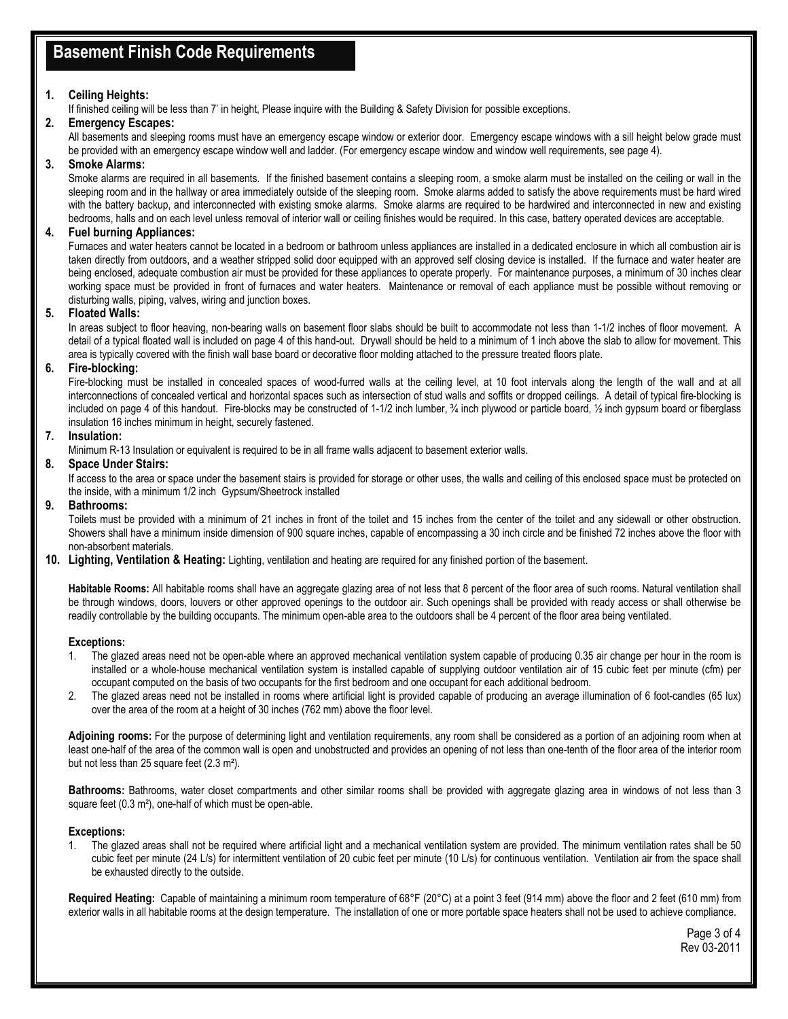## **Basement Finish Code Requirements**

#### **1. Ceiling Heights:**

If finished ceiling will be less than 7' in height, Please inquire with the Building & Safety Division for possible exceptions.

#### **2. Emergency Escapes:**

All basements and sleeping rooms must have an emergency escape window or exterior door. Emergency escape windows with a sill height below grade must be provided with an emergency escape window well and ladder. (For emergency escape window and window well requirements, see page 4).

#### **3. Smoke Alarms:**

Smoke alarms are required in all basements. If the finished basement contains a sleeping room, a smoke alarm must be installed on the ceiling or wall in the sleeping room and in the hallway or area immediately outside of the sleeping room. Smoke alarms added to satisfy the above requirements must be hard wired with the battery backup, and interconnected with existing smoke alarms. Smoke alarms are required to be hardwired and interconnected in new and existing bedrooms, halls and on each level unless removal of interior wall or ceiling finishes would be required. In this case, battery operated devices are acceptable.

#### **4. Fuel burning Appliances:**

Furnaces and water heaters cannot be located in a bedroom or bathroom unless appliances are installed in a dedicated enclosure in which all combustion air is taken directly from outdoors, and a weather stripped solid door equipped with an approved self closing device is installed. If the furnace and water heater are being enclosed, adequate combustion air must be provided for these appliances to operate properly. For maintenance purposes, a minimum of 30 inches clear working space must be provided in front of furnaces and water heaters. Maintenance or removal of each appliance must be possible without removing or disturbing walls, piping, valves, wiring and junction boxes.

#### **5. Floated Walls:**

In areas subject to floor heaving, non-bearing walls on basement floor slabs should be built to accommodate not less than 1-1/2 inches of floor movement. A detail of a typical floated wall is included on page 4 of this hand-out. Drywall should be held to a minimum of 1 inch above the slab to allow for movement. This area is typically covered with the finish wall base board or decorative floor molding attached to the pressure treated floors plate.

#### **6. Fire-blocking:**

Fire-blocking must be installed in concealed spaces of wood-furred walls at the ceiling level, at 10 foot intervals along the length of the wall and at all interconnections of concealed vertical and horizontal spaces such as intersection of stud walls and soffits or dropped ceilings. A detail of typical fire-blocking is included on page 4 of this handout. Fire-blocks may be constructed of 1-1/2 inch lumber, 34 inch plywood or particle board, 1/2 inch gypsum board or fiberglass insulation 16 inches minimum in height, securely fastened.

#### **7. Insulation:**

Minimum R-13 Insulation or equivalent is required to be in all frame walls adjacent to basement exterior walls.

#### **8. Space Under Stairs:**

If access to the area or space under the basement stairs is provided for storage or other uses, the walls and ceiling of this enclosed space must be protected on the inside, with a minimum 1/2 inch Gypsum/Sheetrock installed

#### **9. Bathrooms:**

Toilets must be provided with a minimum of 21 inches in front of the toilet and 15 inches from the center of the toilet and any sidewall or other obstruction. Showers shall have a minimum inside dimension of 900 square inches, capable of encompassing a 30 inch circle and be finished 72 inches above the floor with non-absorbent materials.

**10. Lighting, Ventilation & Heating:** Lighting, ventilation and heating are required for any finished portion of the basement.

Habitable Rooms: All habitable rooms shall have an aggregate glazing area of not less that 8 percent of the floor area of such rooms. Natural ventilation shall be through windows, doors, louvers or other approved openings to the outdoor air. Such openings shall be provided with ready access or shall otherwise be readily controllable by the building occupants. The minimum open-able area to the outdoors shall be 4 percent of the floor area being ventilated.

#### **Exceptions:**

- 1. The glazed areas need not be open-able where an approved mechanical ventilation system capable of producing 0.35 air change per hour in the room is installed or a whole-house mechanical ventilation system is installed capable of supplying outdoor ventilation air of 15 cubic feet per minute (cfm) per occupant computed on the basis of two occupants for the first bedroom and one occupant for each additional bedroom.
- 2. The glazed areas need not be installed in rooms where artificial light is provided capable of producing an average illumination of 6 foot-candles (65 lux) over the area of the room at a height of 30 inches (762 mm) above the floor level.

**Adjoining rooms:** For the purpose of determining light and ventilation requirements, any room shall be considered as a portion of an adjoining room when at least one-half of the area of the common wall is open and unobstructed and provides an opening of not less than one-tenth of the floor area of the interior room but not less than 25 square feet (2.3 m²).

**Bathrooms:** Bathrooms, water closet compartments and other similar rooms shall be provided with aggregate glazing area in windows of not less than 3 square feet (0.3 m<sup>2</sup>), one-half of which must be open-able.

#### **Exceptions:**

1. The glazed areas shall not be required where artificial light and a mechanical ventilation system are provided. The minimum ventilation rates shall be 50 cubic feet per minute (24 L/s) for intermittent ventilation of 20 cubic feet per minute (10 L/s) for continuous ventilation. Ventilation air from the space shall be exhausted directly to the outside.

**Required Heating:** Capable of maintaining a minimum room temperature of 68°F (20°C) at a point 3 feet (914 mm) above the floor and 2 feet (610 mm) from exterior walls in all habitable rooms at the design temperature. The installation of one or more portable space heaters shall not be used to achieve compliance.